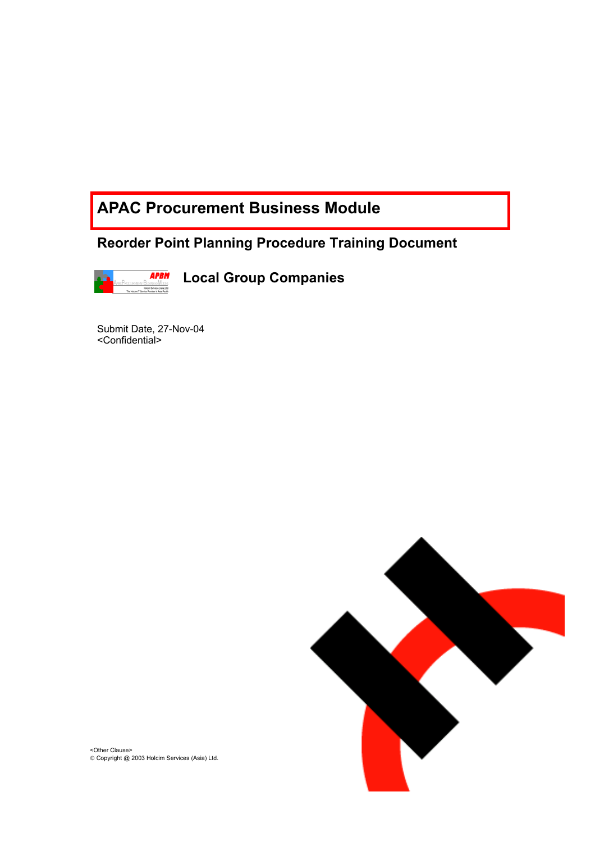# **APAC Procurement Business Module**

**Reorder Point Planning Procedure Training Document** 



**Local Group Companies** 

Submit Date, 27-Nov-04 <Confidential>



<Other Clause> Copyright @ 2003 Holcim Services (Asia) Ltd.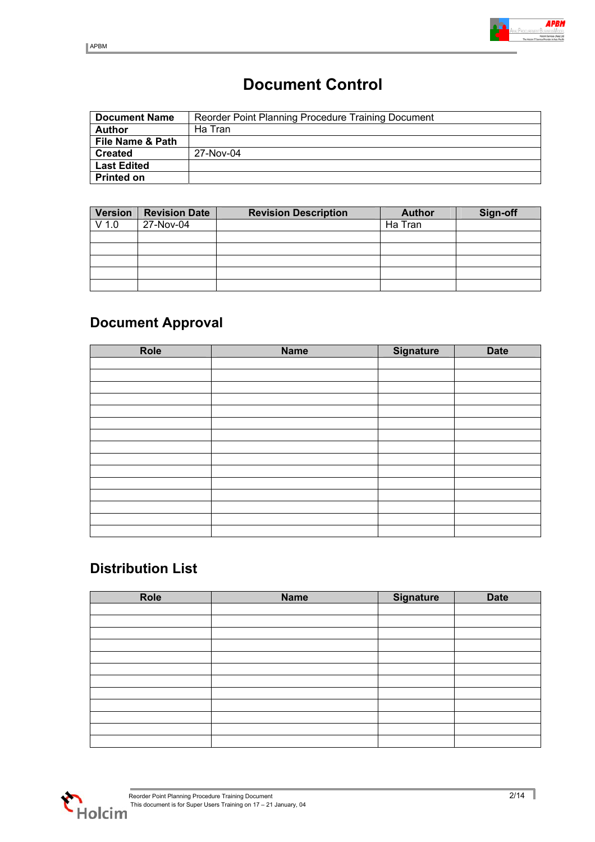

# **Document Control**

| <b>Document Name</b> | Reorder Point Planning Procedure Training Document |
|----------------------|----------------------------------------------------|
| <b>Author</b>        | Ha Tran                                            |
| File Name & Path     |                                                    |
| <b>Created</b>       | 27-Nov-04                                          |
| <b>Last Edited</b>   |                                                    |
| <b>Printed on</b>    |                                                    |

| <b>Version</b> | <b>Revision Date</b> | <b>Revision Description</b> | <b>Author</b> | Sign-off |
|----------------|----------------------|-----------------------------|---------------|----------|
| $V$ 1.0        | 27-Nov-04            |                             | Ha Tran       |          |
|                |                      |                             |               |          |
|                |                      |                             |               |          |
|                |                      |                             |               |          |
|                |                      |                             |               |          |
|                |                      |                             |               |          |

# **Document Approval**

| Role | <b>Name</b> | Signature | <b>Date</b> |
|------|-------------|-----------|-------------|
|      |             |           |             |
|      |             |           |             |
|      |             |           |             |
|      |             |           |             |
|      |             |           |             |
|      |             |           |             |
|      |             |           |             |
|      |             |           |             |
|      |             |           |             |
|      |             |           |             |
|      |             |           |             |
|      |             |           |             |
|      |             |           |             |
|      |             |           |             |
|      |             |           |             |

# **Distribution List**

| Role | <b>Name</b> | Signature | <b>Date</b> |
|------|-------------|-----------|-------------|
|      |             |           |             |
|      |             |           |             |
|      |             |           |             |
|      |             |           |             |
|      |             |           |             |
|      |             |           |             |
|      |             |           |             |
|      |             |           |             |
|      |             |           |             |
|      |             |           |             |
|      |             |           |             |
|      |             |           |             |

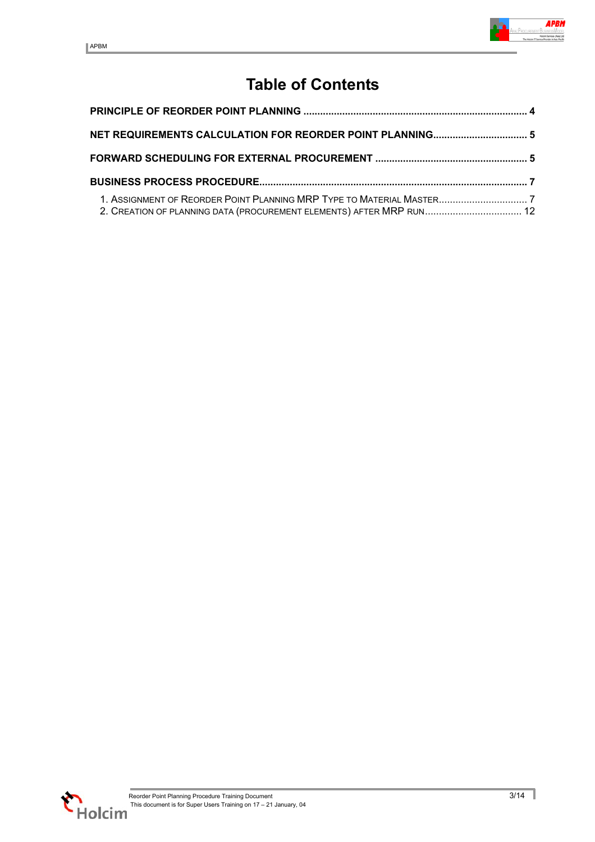# **Table of Contents**

| 2. CREATION OF PLANNING DATA (PROCUREMENT ELEMENTS) AFTER MRP RUN 12 |  |
|----------------------------------------------------------------------|--|

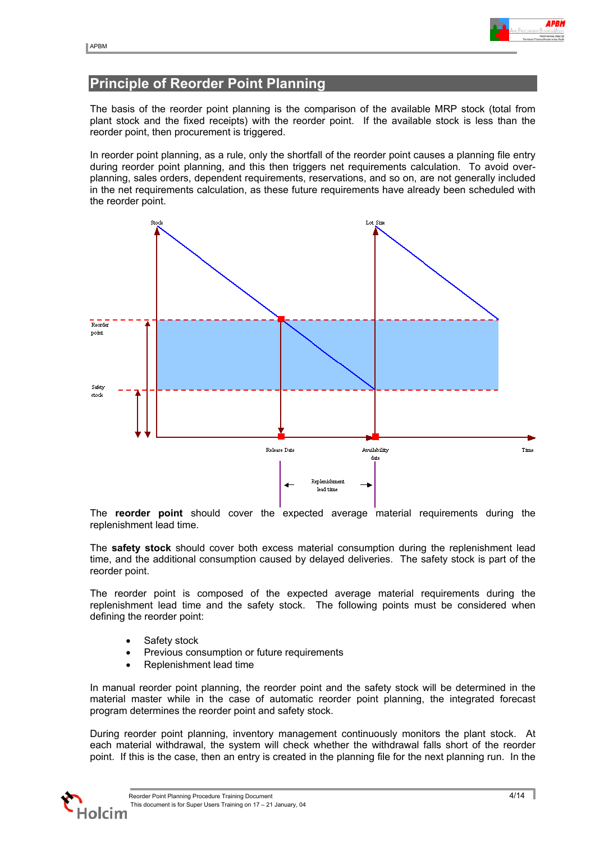

### <span id="page-3-0"></span>**Principle of Reorder Point Planning**

The basis of the reorder point planning is the comparison of the available MRP stock (total from plant stock and the fixed receipts) with the reorder point. If the available stock is less than the reorder point, then procurement is triggered.

In reorder point planning, as a rule, only the shortfall of the reorder point causes a planning file entry during reorder point planning, and this then triggers net requirements calculation. To avoid overplanning, sales orders, dependent requirements, reservations, and so on, are not generally included in the net requirements calculation, as these future requirements have already been scheduled with the reorder point.



The **reorder point** should cover the expected average material requirements during the replenishment lead time.

The **safety stock** should cover both excess material consumption during the replenishment lead time, and the additional consumption caused by delayed deliveries. The safety stock is part of the reorder point.

The reorder point is composed of the expected average material requirements during the replenishment lead time and the safety stock. The following points must be considered when defining the reorder point:

- Safety stock
- Previous consumption or future requirements
- Replenishment lead time

In manual reorder point planning, the reorder point and the safety stock will be determined in the material master while in the case of automatic reorder point planning, the integrated forecast program determines the reorder point and safety stock.

During reorder point planning, inventory management continuously monitors the plant stock. At each material withdrawal, the system will check whether the withdrawal falls short of the reorder point. If this is the case, then an entry is created in the planning file for the next planning run. In the

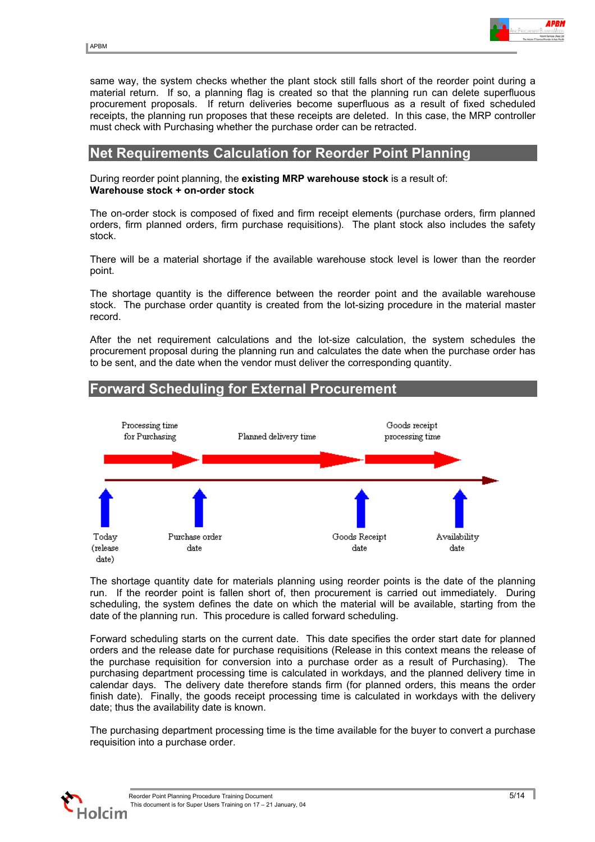<span id="page-4-0"></span>same way, the system checks whether the plant stock still falls short of the reorder point during a material return. If so, a planning flag is created so that the planning run can delete superfluous procurement proposals. If return deliveries become superfluous as a result of fixed scheduled receipts, the planning run proposes that these receipts are deleted. In this case, the MRP controller must check with Purchasing whether the purchase order can be retracted.

#### **Net Requirements Calculation for Reorder Point Planning**

#### During reorder point planning, the **existing MRP warehouse stock** is a result of: **Warehouse stock + on-order stock**

The on-order stock is composed of fixed and firm receipt elements (purchase orders, firm planned orders, firm planned orders, firm purchase requisitions). The plant stock also includes the safety stock.

There will be a material shortage if the available warehouse stock level is lower than the reorder point.

The shortage quantity is the difference between the reorder point and the available warehouse stock. The purchase order quantity is created from the lot-sizing procedure in the material master record.

After the net requirement calculations and the lot-size calculation, the system schedules the procurement proposal during the planning run and calculates the date when the purchase order has to be sent, and the date when the vendor must deliver the corresponding quantity.



#### The shortage quantity date for materials planning using reorder points is the date of the planning run. If the reorder point is fallen short of, then procurement is carried out immediately. During scheduling, the system defines the date on which the material will be available, starting from the date of the planning run. This procedure is called forward scheduling.

Forward scheduling starts on the current date. This date specifies the order start date for planned orders and the release date for purchase requisitions (Release in this context means the release of the purchase requisition for conversion into a purchase order as a result of Purchasing). The purchasing department processing time is calculated in workdays, and the planned delivery time in calendar days. The delivery date therefore stands firm (for planned orders, this means the order finish date). Finally, the goods receipt processing time is calculated in workdays with the delivery date; thus the availability date is known.

The purchasing department processing time is the time available for the buyer to convert a purchase requisition into a purchase order.

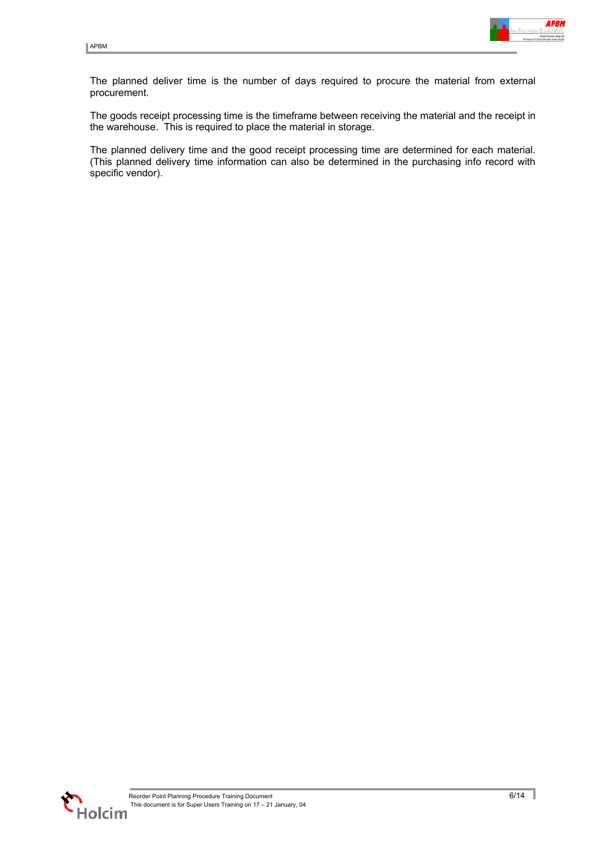

The planned deliver time is the number of days required to procure the material from external procurement.

The goods receipt processing time is the timeframe between receiving the material and the receipt in the warehouse. This is required to place the material in storage.

The planned delivery time and the good receipt processing time are determined for each material. (This planned delivery time information can also be determined in the purchasing info record with specific vendor).



ı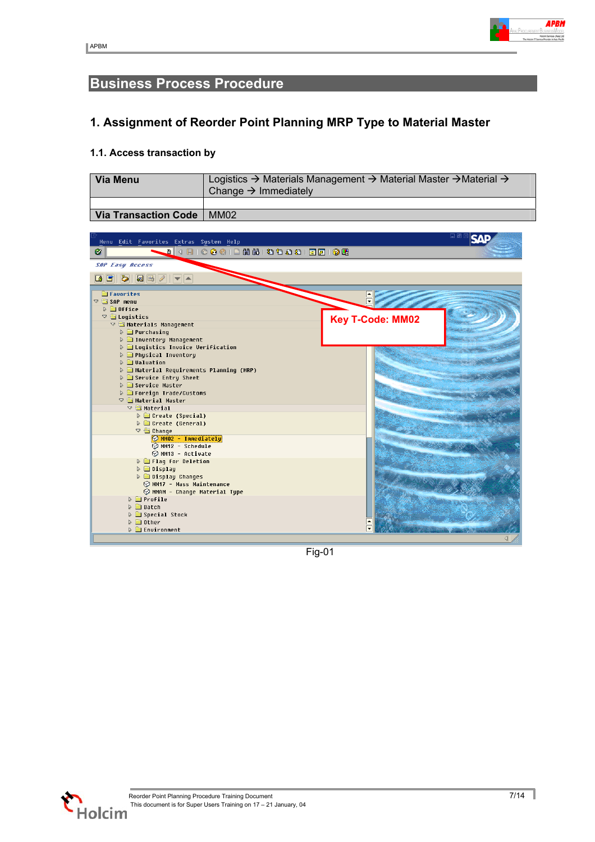

### <span id="page-6-0"></span>**Business Process Procedure**

### **1. Assignment of Reorder Point Planning MRP Type to Material Master**

#### **1.1. Access transaction by**

| <b>Via Menu</b>             | Logistics $\rightarrow$ Materials Management $\rightarrow$ Material Master $\rightarrow$ Material $\rightarrow$<br>Change $\rightarrow$ Immediately |
|-----------------------------|-----------------------------------------------------------------------------------------------------------------------------------------------------|
|                             |                                                                                                                                                     |
| Via Transaction Code   MM02 |                                                                                                                                                     |



Fig-01



1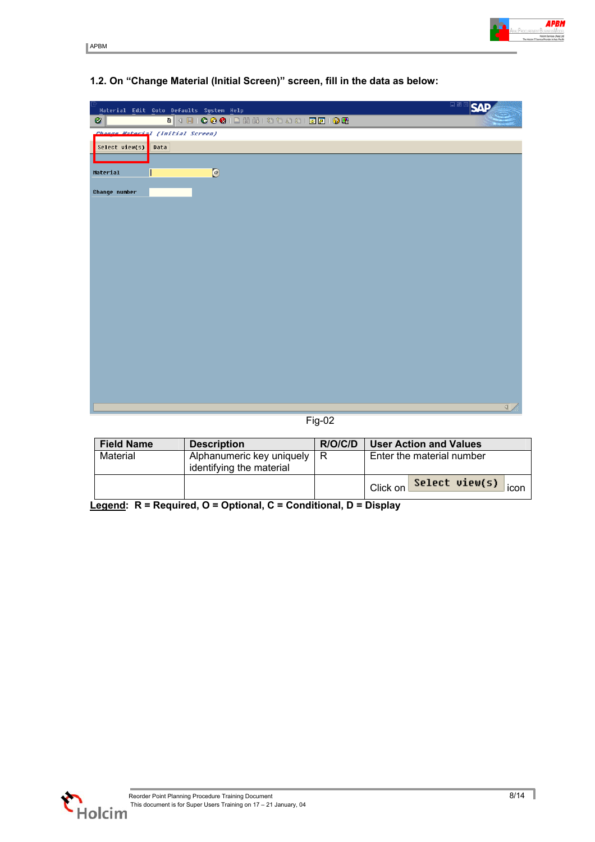|                | Material Edit Goto Defaults System Help | 口回口<br>57                |
|----------------|-----------------------------------------|--------------------------|
| $\bullet$      |                                         |                          |
|                | Change Material (Initial Screen)        |                          |
| Select view(s) | Data                                    |                          |
|                |                                         |                          |
| Material       | $\bigcirc$                              |                          |
| Change number  |                                         |                          |
|                |                                         |                          |
|                |                                         |                          |
|                |                                         |                          |
|                |                                         |                          |
|                |                                         |                          |
|                |                                         |                          |
|                |                                         |                          |
|                |                                         |                          |
|                |                                         |                          |
|                |                                         |                          |
|                |                                         |                          |
|                |                                         |                          |
|                |                                         |                          |
|                |                                         |                          |
|                |                                         |                          |
|                |                                         | $\overline{\mathcal{A}}$ |
|                |                                         |                          |

#### **1.2. On "Change Material (Initial Screen)" screen, fill in the data as below:**

Fig-02

| <b>Field Name</b> | <b>Description</b>                                        | R/O/C/D | <b>User Action and Values</b>      |  |  |
|-------------------|-----------------------------------------------------------|---------|------------------------------------|--|--|
| Material          | Alphanumeric key uniquely   R<br>identifying the material |         | Enter the material number          |  |  |
|                   |                                                           |         | Select view(s)<br>Click on<br>icon |  |  |

**Legend: R = Required, O = Optional, C = Conditional, D = Display**



1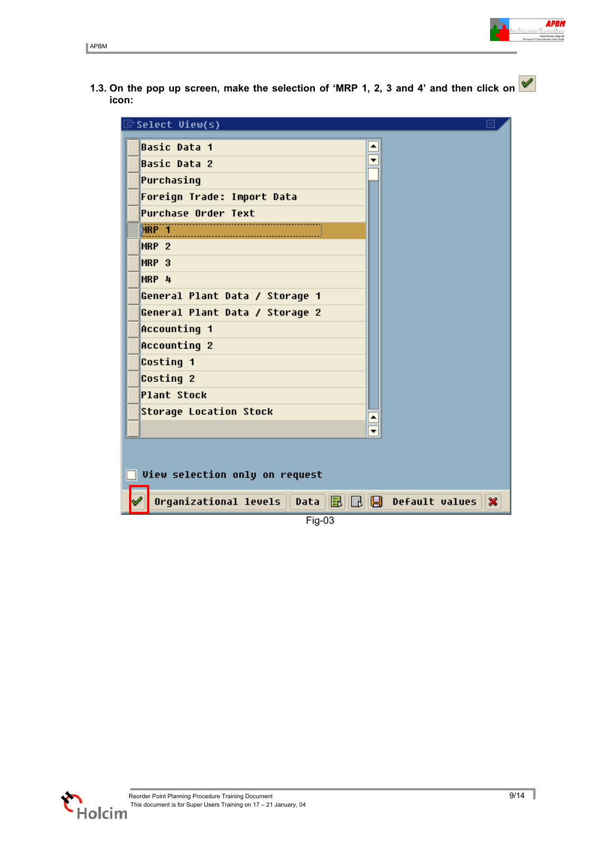

**1.3. On the pop up screen, make the selection of 'MRP 1, 2, 3 and 4' and then click on icon:** 



Fig-03

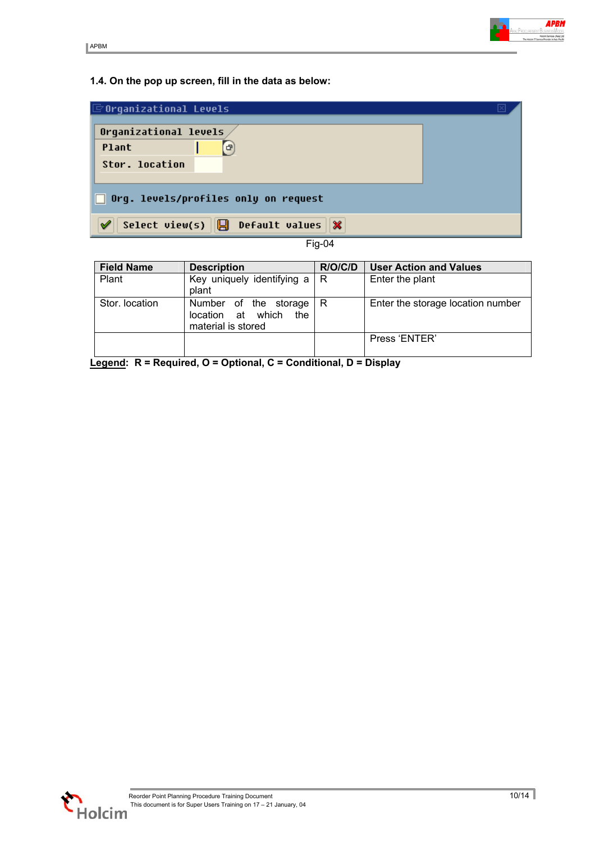

#### **1.4. On the pop up screen, fill in the data as below:**

| $\mathbf \boxdot$ Organizational Levels                   |  |  |  |
|-----------------------------------------------------------|--|--|--|
| Orqanizational levels                                     |  |  |  |
| <b>Plant</b><br>G)                                        |  |  |  |
| Stor. location                                            |  |  |  |
|                                                           |  |  |  |
| $\Box$ Org. levels/profiles only on request               |  |  |  |
| Select view(s) $\ \Box\ $ Default values $\ \mathbf{x}\ $ |  |  |  |

| <b>Field Name</b> | <b>Description</b>                                                      | R/O/C/D | <b>User Action and Values</b>     |
|-------------------|-------------------------------------------------------------------------|---------|-----------------------------------|
| Plant             | Key uniquely identifying $a \mid R$<br>plant                            |         | Enter the plant                   |
| Stor. location    | Number of the storage<br>location at which<br>the<br>material is stored | R       | Enter the storage location number |
|                   |                                                                         |         | Press 'ENTER'                     |

**Legend: R = Required, O = Optional, C = Conditional, D = Display**

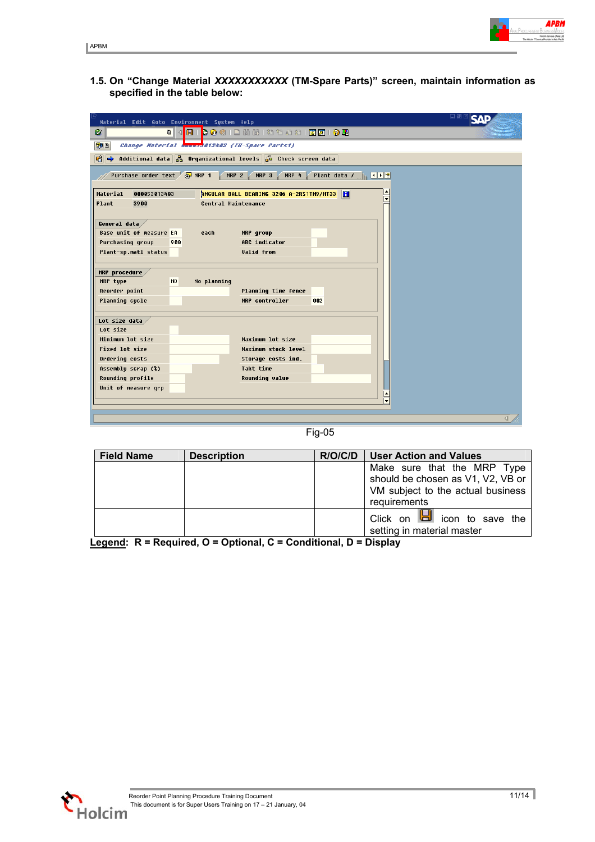**1.5. On "Change Material** *XXXXXXXXXXX* **(TM-Spare Parts)" screen, maintain information as specified in the table below:**

| Material Edit Goto Environment System Help                                                                   | 口ほ |
|--------------------------------------------------------------------------------------------------------------|----|
| <b>8   0 0 1</b> 2 3 4 5 6 7 8 9 7 8 7 8 7 8 7 8 9 8<br>Ø                                                    |    |
| Change Material boundaries (TH-Spare Parts1)<br>別日                                                           |    |
| Additional data $\frac{5}{60}$ Organizational levels $\frac{7}{60}$ Check screen data<br>பி<br>$\Rightarrow$ |    |
|                                                                                                              |    |
| Purchase order text <b>a</b> MRP 1<br>$MRP$ 2<br>MRP 3<br>Plant data / <mark>下 (下图</mark><br>MRP 4           |    |
| Material<br><b>ANGULAR BALL BEARING 3286 A-2RS1TN9/MT33</b><br>000053013403                                  |    |
| Plant<br>3900<br>Central Maintenance                                                                         |    |
|                                                                                                              |    |
| General data                                                                                                 |    |
| <b>Base unit of measure EA</b><br>MRP group<br>each                                                          |    |
| ABC indicator<br>Purchasing group<br>988                                                                     |    |
| Plant-sp.matl status<br><b>Valid from</b>                                                                    |    |
|                                                                                                              |    |
| MRP procedure<br>MRP type<br><b>ND</b><br>No planning                                                        |    |
| Reorder point<br>Planning time fence                                                                         |    |
| <b>Planning cycle</b><br>MRP controller<br>882                                                               |    |
|                                                                                                              |    |
| Lot size data                                                                                                |    |
| Lot size                                                                                                     |    |
| Minimum lot size<br>Maximum lot size                                                                         |    |
| Fixed lot size<br>Maximum stock level                                                                        |    |
| Ordering costs<br>Storage costs ind.                                                                         |    |
| Assembly scrap (%)<br>Takt time                                                                              |    |
| <b>Rounding profile</b><br><b>Rounding value</b>                                                             |    |
| Unit of measure grp                                                                                          |    |
| ≂                                                                                                            |    |
|                                                                                                              |    |
|                                                                                                              | ◁  |

Fig-05

| <b>Field Name</b> | <b>Description</b> | <b>User Action and Values</b><br>R/O/C/D |                                                                                                                       |  |  |
|-------------------|--------------------|------------------------------------------|-----------------------------------------------------------------------------------------------------------------------|--|--|
|                   |                    |                                          | Make sure that the MRP Type<br>should be chosen as V1, V2, VB or<br>VM subject to the actual business<br>requirements |  |  |
|                   |                    |                                          | Click on $\Box$ icon to save the<br>setting in material master                                                        |  |  |

**Legend: R = Required, O = Optional, C = Conditional, D = Display**

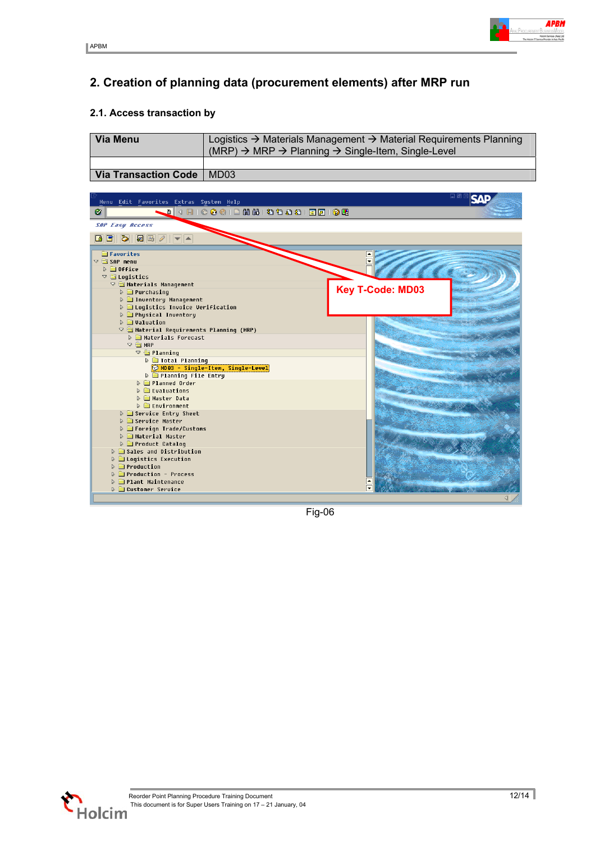

## <span id="page-11-0"></span>**2. Creation of planning data (procurement elements) after MRP run**

#### **2.1. Access transaction by**

| <b>Via Menu</b>             | Logistics $\rightarrow$ Materials Management $\rightarrow$ Material Requirements Planning<br>$(MRP)$ $\rightarrow$ MRP $\rightarrow$ Planning $\rightarrow$ Single-Item, Single-Level |  |  |  |
|-----------------------------|---------------------------------------------------------------------------------------------------------------------------------------------------------------------------------------|--|--|--|
|                             |                                                                                                                                                                                       |  |  |  |
| Via Transaction Code   MD03 |                                                                                                                                                                                       |  |  |  |

| Menu Edit Favorites Extras System Help<br>Ø                                                       |                         |
|---------------------------------------------------------------------------------------------------|-------------------------|
| <b>SAP Easy Access</b>                                                                            |                         |
| B.                                                                                                |                         |
| <b>E</b> Favorites                                                                                |                         |
| $\nabla$ $\bigoplus$ SAP menu                                                                     |                         |
| $D$ <b>a</b> Office                                                                               |                         |
| $\triangledown$ $\bigcirc$ Logistics                                                              |                         |
| $\nabla$ $\bigoplus$ Materials Management                                                         | <b>Key T-Code: MD03</b> |
| $\triangleright$ $\blacksquare$ Purchasing                                                        |                         |
| <b>D C</b> Inventory Management                                                                   |                         |
| <b>D C</b> logistics Invoice Verification<br><b>D C</b> Physical Inventory                        |                         |
| $\triangleright$ $\blacksquare$ Valuation                                                         |                         |
| $\nabla$ $\bigoplus$ Material Requirements Planning (MRP)                                         |                         |
| <b>D Materials</b> Forecast                                                                       |                         |
| $\triangledown$ $\bigoplus$ MRP                                                                   |                         |
| $\nabla \subseteq$ Planning                                                                       |                         |
| <b>D</b> Total Planning                                                                           |                         |
| MD03 - Single-Item, Single-Level                                                                  |                         |
| <b>D</b> Planning File Entry                                                                      |                         |
| <b>D</b> Planned Order<br>$\triangleright$ $\blacksquare$ Evaluations                             |                         |
| <b>D</b> Master Data                                                                              |                         |
| $\triangleright$ $\blacksquare$ Environment                                                       |                         |
| <b>D</b> Garvice Entry Sheet                                                                      |                         |
| D G Service Master                                                                                |                         |
| ▷ ■ Foreign Trade/Customs                                                                         |                         |
| <b>D</b> Material Master                                                                          |                         |
| <b>D</b> Product Catalog                                                                          |                         |
| <b>D</b> Gales and Distribution                                                                   |                         |
| $\triangleright$ $\blacksquare$ Logistics Execution<br>$\triangleright$ $\blacksquare$ Production |                         |
| <b>D</b> Production - Process                                                                     |                         |
| <b>D C</b> Plant Maintenance                                                                      |                         |
| <b>D</b> Customer Service                                                                         |                         |
|                                                                                                   |                         |

Fig-06

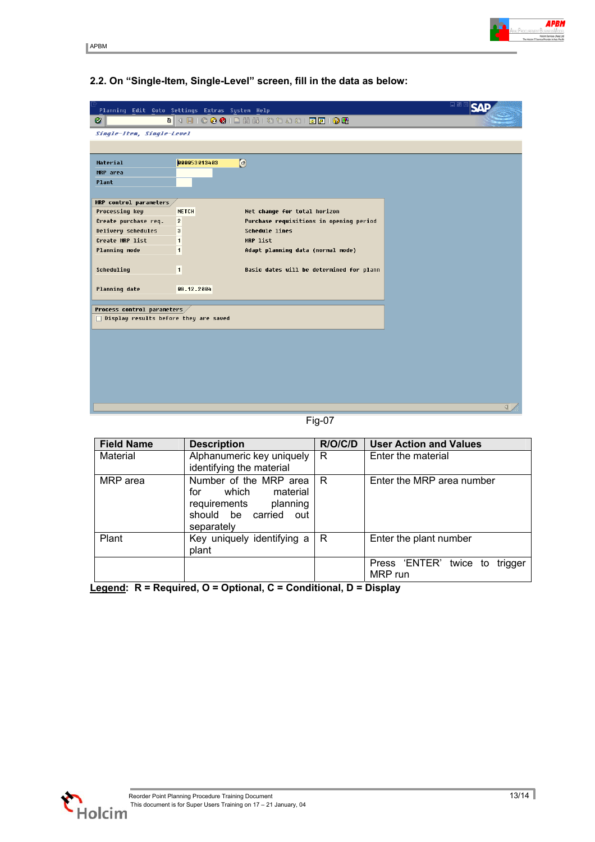#### **2.2. On "Single-Item, Single-Level" screen, fill in the data as below:**

|                                              | Planning Edit Goto Settings Extras System Help             | 口回                           |
|----------------------------------------------|------------------------------------------------------------|------------------------------|
| Ø                                            |                                                            |                              |
| Single-Item, Single-Level                    |                                                            |                              |
|                                              |                                                            |                              |
|                                              |                                                            |                              |
| Material                                     | $\bigcirc$<br>000053013403                                 |                              |
| MRP area                                     |                                                            |                              |
| Plant                                        |                                                            |                              |
| MRP control parameters,                      |                                                            |                              |
| Processing key                               | Net change for total horizon<br><b>NETCH</b>               |                              |
| Create purchase req.                         | Purchase requisitions in opening period<br>$\overline{2}$  |                              |
| Delivery schedules                           | <b>Schedule lines</b><br>$\overline{\mathbf{3}}$           |                              |
| Create MRP list                              | $\blacksquare$<br>MRP list                                 |                              |
| Planning mode                                | $\blacksquare$<br>Adapt planning data (normal mode)        |                              |
|                                              |                                                            |                              |
| Scheduling                                   | $\blacksquare$<br>Basic dates will be determined for plann |                              |
|                                              |                                                            |                              |
| Planning date                                | 08.12.2004                                                 |                              |
|                                              |                                                            |                              |
| Process control parameters,                  |                                                            |                              |
| $\Box$ Display results before they are saved |                                                            |                              |
|                                              |                                                            |                              |
|                                              |                                                            |                              |
|                                              |                                                            |                              |
|                                              |                                                            |                              |
|                                              |                                                            |                              |
|                                              |                                                            |                              |
|                                              |                                                            |                              |
|                                              |                                                            | $\left\langle \right\rangle$ |

Fig-07

| <b>Field Name</b> | <b>Description</b>                                                                                                       | R/O/C/D | <b>User Action and Values</b>                      |  |  |  |
|-------------------|--------------------------------------------------------------------------------------------------------------------------|---------|----------------------------------------------------|--|--|--|
| Material          | Alphanumeric key uniquely<br>identifying the material                                                                    | R       | Enter the material                                 |  |  |  |
| MRP area          | Number of the MRP area<br>which<br>material<br>for<br>planning<br>requirements<br>should be carried<br>out<br>separately | R       | Enter the MRP area number                          |  |  |  |
| Plant             | Key uniquely identifying a<br>plant                                                                                      | R       | Enter the plant number                             |  |  |  |
|                   |                                                                                                                          |         | Press 'ENTER'<br>twice<br>trigger<br>to<br>MRP run |  |  |  |

**Legend: R = Required, O = Optional, C = Conditional, D = Display**